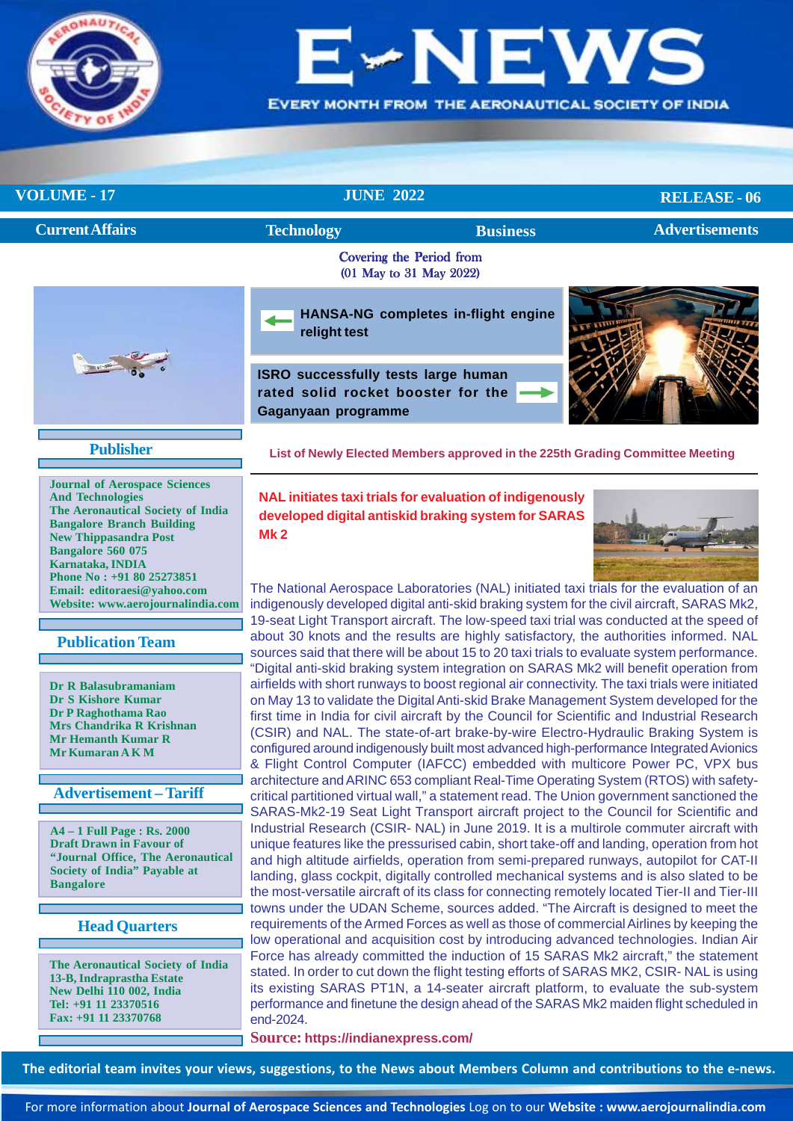

# NE

**EVERY MONTH FROM THE AERONAUTICAL SOCIETY OF INDIA** 

# **VOLUME - 17** JUNE 2022

**RELEASE - 06**

| <b>Current Affairs</b> | <b>Technology</b>                                                                                | <b>Business</b>                                     | <b>Advertisements</b> |  |
|------------------------|--------------------------------------------------------------------------------------------------|-----------------------------------------------------|-----------------------|--|
|                        |                                                                                                  | Covering the Period from<br>(01 May to 31 May 2022) |                       |  |
|                        | relight test                                                                                     | HANSA-NG completes in-flight engine                 |                       |  |
|                        | ISRO successfully tests large human<br>rated solid rocket booster for the<br>Gaganyaan programme |                                                     |                       |  |

**Publisher**

**Journal of Aerospace Sciences And Technologies The Aeronautical Society of India Bangalore Branch Building New Thippasandra Post Bangalore 560 075 Karnataka, INDIA Phone No : +91 80 25273851 Email: editoraesi@yahoo.com Website: www.aerojournalindia.com**

 **Publication Team**

**Dr R Balasubramaniam Dr S Kishore Kumar Dr P Raghothama Rao Mrs Chandrika R Krishnan Mr Hemanth Kumar R Mr Kumaran A K M**

# **Advertisement – Tariff**

**A4 – 1 Full Page : Rs. 2000 Draft Drawn in Favour of "Journal Office, The Aeronautical Society of India" Payable at Bangalore**

**Head Quarters**

**The Aeronautical Society of India 13-B, Indraprastha Estate New Delhi 110 002, India Tel: +91 11 23370516 Fax: +91 11 23370768**

**[List of Newly Elected Members approved in the 225th Grading Committee Meeting](#page-8-0)**

**NAL initiates taxi trials for evaluation of indigenously developed digital antiskid braking system for SARAS Mk 2**



The National Aerospace Laboratories (NAL) initiated taxi trials for the evaluation of an indigenously developed digital anti-skid braking system for the civil aircraft, SARAS Mk2, 19-seat Light Transport aircraft. The low-speed taxi trial was conducted at the speed of about 30 knots and the results are highly satisfactory, the authorities informed. NAL sources said that there will be about 15 to 20 taxi trials to evaluate system performance. "Digital anti-skid braking system integration on SARAS Mk2 will benefit operation from airfields with short runways to boost regional air connectivity. The taxi trials were initiated on May 13 to validate the Digital Anti-skid Brake Management System developed for the first time in India for civil aircraft by the Council for Scientific and Industrial Research (CSIR) and NAL. The state-of-art brake-by-wire Electro-Hydraulic Braking System is configured around indigenously built most advanced high-performance Integrated Avionics & Flight Control Computer (IAFCC) embedded with multicore Power PC, VPX bus architecture and ARINC 653 compliant Real-Time Operating System (RTOS) with safetycritical partitioned virtual wall," a statement read. The Union government sanctioned the SARAS-Mk2-19 Seat Light Transport aircraft project to the Council for Scientific and Industrial Research (CSIR- NAL) in June 2019. It is a multirole commuter aircraft with unique features like the pressurised cabin, short take-off and landing, operation from hot and high altitude airfields, operation from semi-prepared runways, autopilot for CAT-II landing, glass cockpit, digitally controlled mechanical systems and is also slated to be the most-versatile aircraft of its class for connecting remotely located Tier-II and Tier-III towns under the UDAN Scheme, sources added. "The Aircraft is designed to meet the requirements of the Armed Forces as well as those of commercial Airlines by keeping the low operational and acquisition cost by introducing advanced technologies. Indian Air Force has already committed the induction of 15 SARAS Mk2 aircraft," the statement stated. In order to cut down the flight testing efforts of SARAS MK2, CSIR- NAL is using its existing SARAS PT1N, a 14-seater aircraft platform, to evaluate the sub-system performance and finetune the design ahead of the SARAS Mk2 maiden flight scheduled in end-2024.

**Source: https://indianexpress.com/**

**The editorial team invites your views, suggestions, to the News about Members Column and contributions to the e-news.**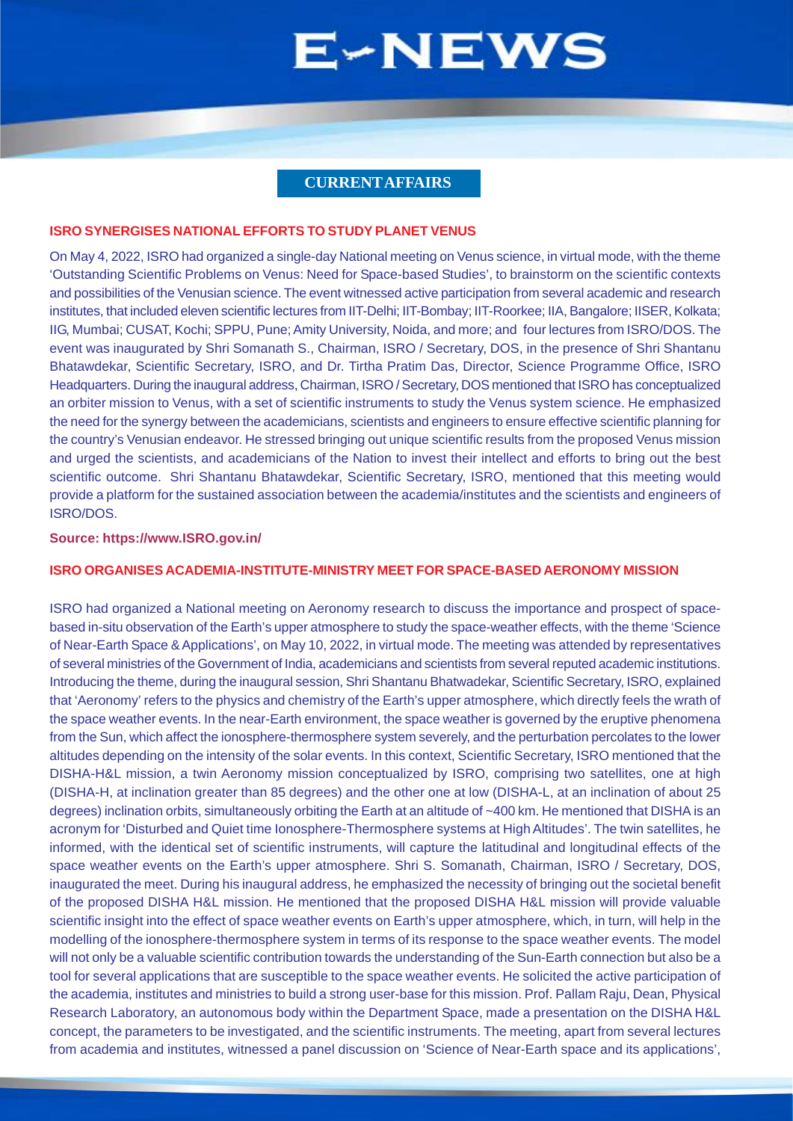# **CURRENT AFFAIRS**

#### <span id="page-1-0"></span>**ISRO SYNERGISES NATIONAL EFFORTS TO STUDY PLANET VENUS**

On May 4, 2022, ISRO had organized a single-day National meeting on Venus science, in virtual mode, with the theme 'Outstanding Scientific Problems on Venus: Need for Space-based Studies', to brainstorm on the scientific contexts and possibilities of the Venusian science. The event witnessed active participation from several academic and research institutes, that included eleven scientific lectures from IIT-Delhi; IIT-Bombay; IIT-Roorkee; IIA, Bangalore; IISER, Kolkata; IIG, Mumbai; CUSAT, Kochi; SPPU, Pune; Amity University, Noida, and more; and four lectures from ISRO/DOS. The event was inaugurated by Shri Somanath S., Chairman, ISRO / Secretary, DOS, in the presence of Shri Shantanu Bhatawdekar, Scientific Secretary, ISRO, and Dr. Tirtha Pratim Das, Director, Science Programme Office, ISRO Headquarters. During the inaugural address, Chairman, ISRO / Secretary, DOS mentioned that ISRO has conceptualized an orbiter mission to Venus, with a set of scientific instruments to study the Venus system science. He emphasized the need for the synergy between the academicians, scientists and engineers to ensure effective scientific planning for the country's Venusian endeavor. He stressed bringing out unique scientific results from the proposed Venus mission and urged the scientists, and academicians of the Nation to invest their intellect and efforts to bring out the best scientific outcome. Shri Shantanu Bhatawdekar, Scientific Secretary, ISRO, mentioned that this meeting would provide a platform for the sustained association between the academia/institutes and the scientists and engineers of ISRO/DOS.

#### **Source: https://www.ISRO.gov.in/**

### **ISRO ORGANISES ACADEMIA-INSTITUTE-MINISTRY MEET FOR SPACE-BASED AERONOMY MISSION**

ISRO had organized a National meeting on Aeronomy research to discuss the importance and prospect of spacebased in-situ observation of the Earth's upper atmosphere to study the space-weather effects, with the theme 'Science of Near-Earth Space & Applications', on May 10, 2022, in virtual mode. The meeting was attended by representatives of several ministries of the Government of India, academicians and scientists from several reputed academic institutions. Introducing the theme, during the inaugural session, Shri Shantanu Bhatwadekar, Scientific Secretary, ISRO, explained that 'Aeronomy' refers to the physics and chemistry of the Earth's upper atmosphere, which directly feels the wrath of the space weather events. In the near-Earth environment, the space weather is governed by the eruptive phenomena from the Sun, which affect the ionosphere-thermosphere system severely, and the perturbation percolates to the lower altitudes depending on the intensity of the solar events. In this context, Scientific Secretary, ISRO mentioned that the DISHA-H&L mission, a twin Aeronomy mission conceptualized by ISRO, comprising two satellites, one at high (DISHA-H, at inclination greater than 85 degrees) and the other one at low (DISHA-L, at an inclination of about 25 degrees) inclination orbits, simultaneously orbiting the Earth at an altitude of ~400 km. He mentioned that DISHA is an acronym for 'Disturbed and Quiet time Ionosphere-Thermosphere systems at High Altitudes'. The twin satellites, he informed, with the identical set of scientific instruments, will capture the latitudinal and longitudinal effects of the space weather events on the Earth's upper atmosphere. Shri S. Somanath, Chairman, ISRO / Secretary, DOS, inaugurated the meet. During his inaugural address, he emphasized the necessity of bringing out the societal benefit of the proposed DISHA H&L mission. He mentioned that the proposed DISHA H&L mission will provide valuable scientific insight into the effect of space weather events on Earth's upper atmosphere, which, in turn, will help in the modelling of the ionosphere-thermosphere system in terms of its response to the space weather events. The model will not only be a valuable scientific contribution towards the understanding of the Sun-Earth connection but also be a tool for several applications that are susceptible to the space weather events. He solicited the active participation of the academia, institutes and ministries to build a strong user-base for this mission. Prof. Pallam Raju, Dean, Physical Research Laboratory, an autonomous body within the Department Space, made a presentation on the DISHA H&L concept, the parameters to be investigated, and the scientific instruments. The meeting, apart from several lectures from academia and institutes, witnessed a panel discussion on 'Science of Near-Earth space and its applications',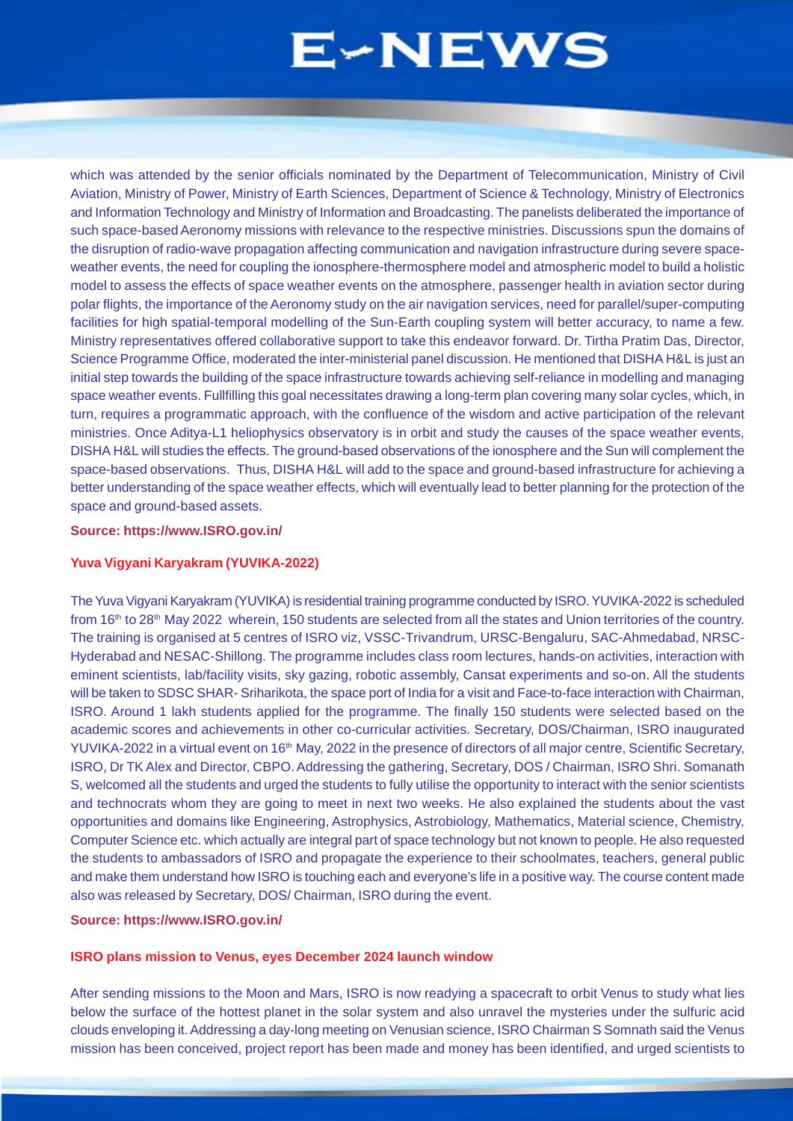which was attended by the senior officials nominated by the Department of Telecommunication, Ministry of Civil Aviation, Ministry of Power, Ministry of Earth Sciences, Department of Science & Technology, Ministry of Electronics and Information Technology and Ministry of Information and Broadcasting. The panelists deliberated the importance of such space-based Aeronomy missions with relevance to the respective ministries. Discussions spun the domains of the disruption of radio-wave propagation affecting communication and navigation infrastructure during severe spaceweather events, the need for coupling the ionosphere-thermosphere model and atmospheric model to build a holistic model to assess the effects of space weather events on the atmosphere, passenger health in aviation sector during polar flights, the importance of the Aeronomy study on the air navigation services, need for parallel/super-computing facilities for high spatial-temporal modelling of the Sun-Earth coupling system will better accuracy, to name a few. Ministry representatives offered collaborative support to take this endeavor forward. Dr. Tirtha Pratim Das, Director, Science Programme Office, moderated the inter-ministerial panel discussion. He mentioned that DISHA H&L is just an initial step towards the building of the space infrastructure towards achieving self-reliance in modelling and managing space weather events. Fullfilling this goal necessitates drawing a long-term plan covering many solar cycles, which, in turn, requires a programmatic approach, with the confluence of the wisdom and active participation of the relevant ministries. Once Aditya-L1 heliophysics observatory is in orbit and study the causes of the space weather events, DISHA H&L will studies the effects. The ground-based observations of the ionosphere and the Sun will complement the space-based observations. Thus, DISHA H&L will add to the space and ground-based infrastructure for achieving a better understanding of the space weather effects, which will eventually lead to better planning for the protection of the space and ground-based assets.

# **Source: https://www.ISRO.gov.in/**

### **Yuva Vigyani Karyakram (YUVIKA-2022)**

The Yuva Vigyani Karyakram (YUVIKA) is residential training programme conducted by ISRO. YUVIKA-2022 is scheduled from 16<sup>th</sup> to 28<sup>th</sup> May 2022 wherein, 150 students are selected from all the states and Union territories of the country. The training is organised at 5 centres of ISRO viz, VSSC-Trivandrum, URSC-Bengaluru, SAC-Ahmedabad, NRSC-Hyderabad and NESAC-Shillong. The programme includes class room lectures, hands-on activities, interaction with eminent scientists, lab/facility visits, sky gazing, robotic assembly, Cansat experiments and so-on. All the students will be taken to SDSC SHAR- Sriharikota, the space port of India for a visit and Face-to-face interaction with Chairman, ISRO. Around 1 lakh students applied for the programme. The finally 150 students were selected based on the academic scores and achievements in other co-curricular activities. Secretary, DOS/Chairman, ISRO inaugurated YUVIKA-2022 in a virtual event on 16<sup>th</sup> May, 2022 in the presence of directors of all major centre, Scientific Secretary, ISRO, Dr TK Alex and Director, CBPO. Addressing the gathering, Secretary, DOS / Chairman, ISRO Shri. Somanath S, welcomed all the students and urged the students to fully utilise the opportunity to interact with the senior scientists and technocrats whom they are going to meet in next two weeks. He also explained the students about the vast opportunities and domains like Engineering, Astrophysics, Astrobiology, Mathematics, Material science, Chemistry, Computer Science etc. which actually are integral part of space technology but not known to people. He also requested the students to ambassadors of ISRO and propagate the experience to their schoolmates, teachers, general public and make them understand how ISRO is touching each and everyone's life in a positive way. The course content made also was released by Secretary, DOS/ Chairman, ISRO during the event.

#### **Source: https://www.ISRO.gov.in/**

#### **ISRO plans mission to Venus, eyes December 2024 launch window**

After sending missions to the Moon and Mars, ISRO is now readying a spacecraft to orbit Venus to study what lies below the surface of the hottest planet in the solar system and also unravel the mysteries under the sulfuric acid clouds enveloping it. Addressing a day-long meeting on Venusian science, ISRO Chairman S Somnath said the Venus mission has been conceived, project report has been made and money has been identified, and urged scientists to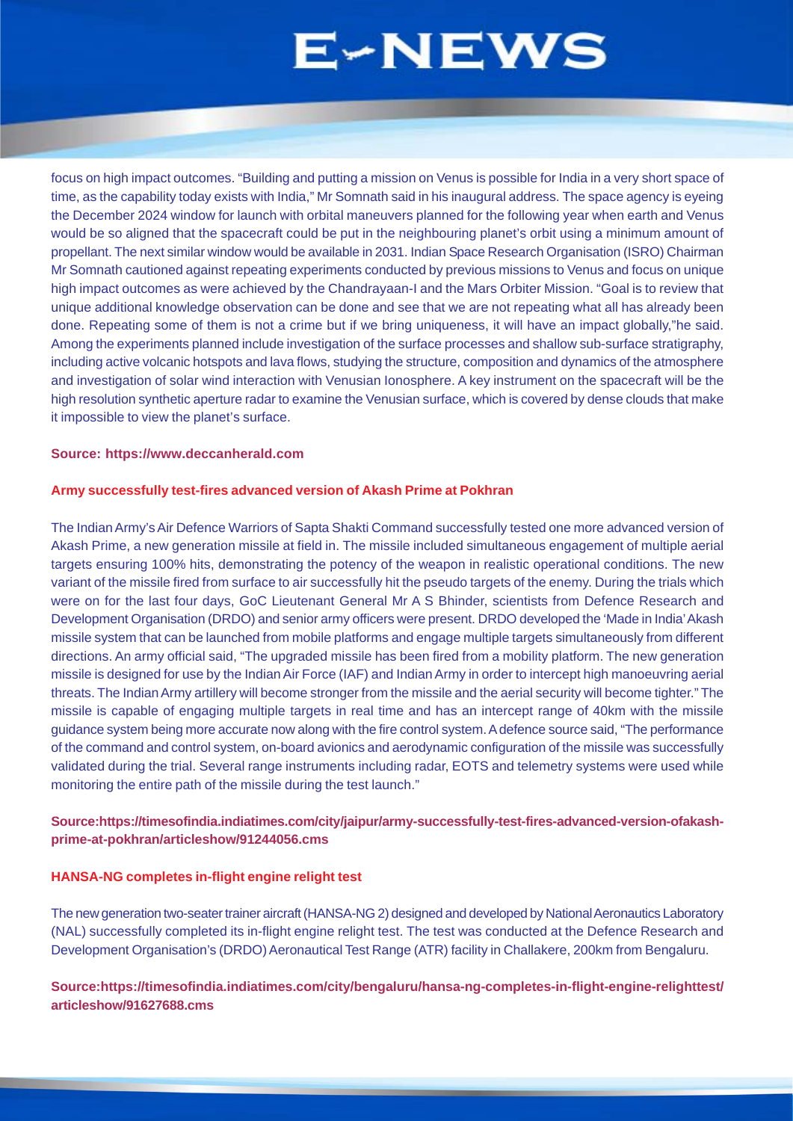<span id="page-3-0"></span>focus on high impact outcomes. "Building and putting a mission on Venus is possible for India in a very short space of time, as the capability today exists with India," Mr Somnath said in his inaugural address. The space agency is eyeing the December 2024 window for launch with orbital maneuvers planned for the following year when earth and Venus would be so aligned that the spacecraft could be put in the neighbouring planet's orbit using a minimum amount of propellant. The next similar window would be available in 2031. Indian Space Research Organisation (ISRO) Chairman Mr Somnath cautioned against repeating experiments conducted by previous missions to Venus and focus on unique high impact outcomes as were achieved by the Chandrayaan-I and the Mars Orbiter Mission. "Goal is to review that unique additional knowledge observation can be done and see that we are not repeating what all has already been done. Repeating some of them is not a crime but if we bring uniqueness, it will have an impact globally,"he said. Among the experiments planned include investigation of the surface processes and shallow sub-surface stratigraphy, including active volcanic hotspots and lava flows, studying the structure, composition and dynamics of the atmosphere and investigation of solar wind interaction with Venusian Ionosphere. A key instrument on the spacecraft will be the high resolution synthetic aperture radar to examine the Venusian surface, which is covered by dense clouds that make it impossible to view the planet's surface.

#### **Source: https://www.deccanherald.com**

#### **Army successfully test-fires advanced version of Akash Prime at Pokhran**

The Indian Army's Air Defence Warriors of Sapta Shakti Command successfully tested one more advanced version of Akash Prime, a new generation missile at field in. The missile included simultaneous engagement of multiple aerial targets ensuring 100% hits, demonstrating the potency of the weapon in realistic operational conditions. The new variant of the missile fired from surface to air successfully hit the pseudo targets of the enemy. During the trials which were on for the last four days, GoC Lieutenant General Mr A S Bhinder, scientists from Defence Research and Development Organisation (DRDO) and senior army officers were present. DRDO developed the 'Made in India' Akash missile system that can be launched from mobile platforms and engage multiple targets simultaneously from different directions. An army official said, "The upgraded missile has been fired from a mobility platform. The new generation missile is designed for use by the Indian Air Force (IAF) and Indian Army in order to intercept high manoeuvring aerial threats. The Indian Army artillery will become stronger from the missile and the aerial security will become tighter." The missile is capable of engaging multiple targets in real time and has an intercept range of 40km with the missile guidance system being more accurate now along with the fire control system. A defence source said, "The performance of the command and control system, on-board avionics and aerodynamic configuration of the missile was successfully validated during the trial. Several range instruments including radar, EOTS and telemetry systems were used while monitoring the entire path of the missile during the test launch."

### **Source:https://timesofindia.indiatimes.com/city/jaipur/army-successfully-test-fires-advanced-version-ofakashprime-at-pokhran/articleshow/91244056.cms**

#### **HANSA-NG completes in-flight engine relight test**

The new generation two-seater trainer aircraft (HANSA-NG 2) designed and developed by National Aeronautics Laboratory (NAL) successfully completed its in-flight engine relight test. The test was conducted at the Defence Research and Development Organisation's (DRDO) Aeronautical Test Range (ATR) facility in Challakere, 200km from Bengaluru.

# **Source:https://timesofindia.indiatimes.com/city/bengaluru/hansa-ng-completes-in-flight-engine-relighttest/ articleshow/91627688.cms**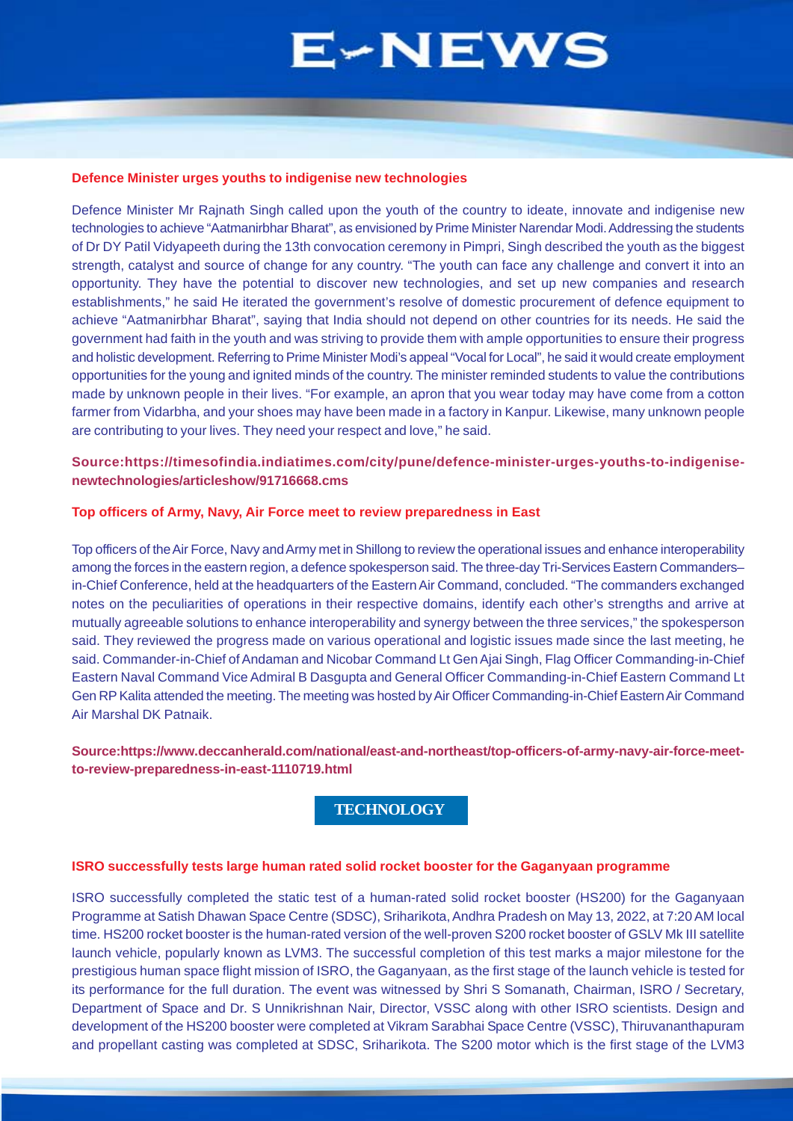#### <span id="page-4-0"></span>**Defence Minister urges youths to indigenise new technologies**

Defence Minister Mr Rajnath Singh called upon the youth of the country to ideate, innovate and indigenise new technologies to achieve "Aatmanirbhar Bharat", as envisioned by Prime Minister Narendar Modi. Addressing the students of Dr DY Patil Vidyapeeth during the 13th convocation ceremony in Pimpri, Singh described the youth as the biggest strength, catalyst and source of change for any country. "The youth can face any challenge and convert it into an opportunity. They have the potential to discover new technologies, and set up new companies and research establishments," he said He iterated the government's resolve of domestic procurement of defence equipment to achieve "Aatmanirbhar Bharat", saying that India should not depend on other countries for its needs. He said the government had faith in the youth and was striving to provide them with ample opportunities to ensure their progress and holistic development. Referring to Prime Minister Modi's appeal "Vocal for Local", he said it would create employment opportunities for the young and ignited minds of the country. The minister reminded students to value the contributions made by unknown people in their lives. "For example, an apron that you wear today may have come from a cotton farmer from Vidarbha, and your shoes may have been made in a factory in Kanpur. Likewise, many unknown people are contributing to your lives. They need your respect and love," he said.

# **Source:https://timesofindia.indiatimes.com/city/pune/defence-minister-urges-youths-to-indigenisenewtechnologies/articleshow/91716668.cms**

#### **Top officers of Army, Navy, Air Force meet to review preparedness in East**

Top officers of the Air Force, Navy and Army met in Shillong to review the operational issues and enhance interoperability among the forces in the eastern region, a defence spokesperson said. The three-day Tri-Services Eastern Commanders– in-Chief Conference, held at the headquarters of the Eastern Air Command, concluded. "The commanders exchanged notes on the peculiarities of operations in their respective domains, identify each other's strengths and arrive at mutually agreeable solutions to enhance interoperability and synergy between the three services," the spokesperson said. They reviewed the progress made on various operational and logistic issues made since the last meeting, he said. Commander-in-Chief of Andaman and Nicobar Command Lt Gen Ajai Singh, Flag Officer Commanding-in-Chief Eastern Naval Command Vice Admiral B Dasgupta and General Officer Commanding-in-Chief Eastern Command Lt Gen RP Kalita attended the meeting. The meeting was hosted by Air Officer Commanding-in-Chief Eastern Air Command Air Marshal DK Patnaik.

# **Source:https://www.deccanherald.com/national/east-and-northeast/top-officers-of-army-navy-air-force-meetto-review-preparedness-in-east-1110719.html**

# **TECHNOLOGY**

### **ISRO successfully tests large human rated solid rocket booster for the Gaganyaan programme**

ISRO successfully completed the static test of a human-rated solid rocket booster (HS200) for the Gaganyaan Programme at Satish Dhawan Space Centre (SDSC), Sriharikota, Andhra Pradesh on May 13, 2022, at 7:20 AM local time. HS200 rocket booster is the human-rated version of the well-proven S200 rocket booster of GSLV Mk III satellite launch vehicle, popularly known as LVM3. The successful completion of this test marks a major milestone for the prestigious human space flight mission of ISRO, the Gaganyaan, as the first stage of the launch vehicle is tested for its performance for the full duration. The event was witnessed by Shri S Somanath, Chairman, ISRO / Secretary, Department of Space and Dr. S Unnikrishnan Nair, Director, VSSC along with other ISRO scientists. Design and development of the HS200 booster were completed at Vikram Sarabhai Space Centre (VSSC), Thiruvananthapuram and propellant casting was completed at SDSC, Sriharikota. The S200 motor which is the first stage of the LVM3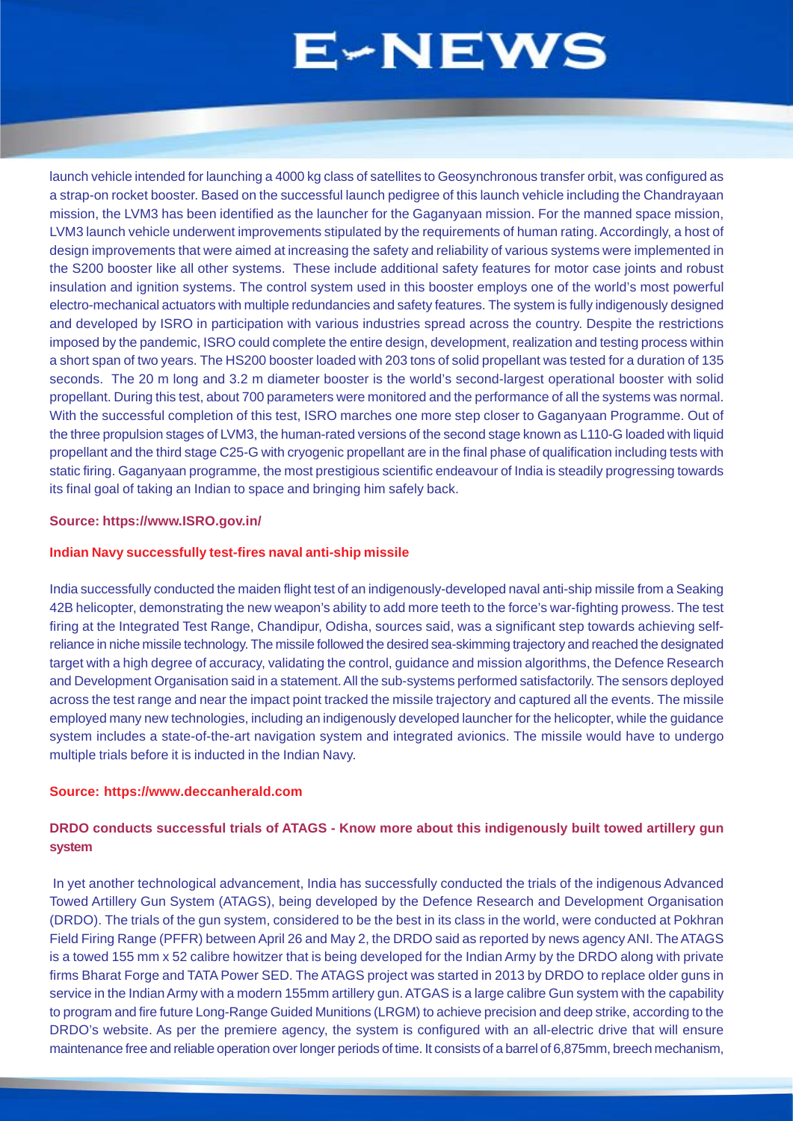launch vehicle intended for launching a 4000 kg class of satellites to Geosynchronous transfer orbit, was configured as a strap-on rocket booster. Based on the successful launch pedigree of this launch vehicle including the Chandrayaan mission, the LVM3 has been identified as the launcher for the Gaganyaan mission. For the manned space mission, LVM3 launch vehicle underwent improvements stipulated by the requirements of human rating. Accordingly, a host of design improvements that were aimed at increasing the safety and reliability of various systems were implemented in the S200 booster like all other systems. These include additional safety features for motor case joints and robust insulation and ignition systems. The control system used in this booster employs one of the world's most powerful electro-mechanical actuators with multiple redundancies and safety features. The system is fully indigenously designed and developed by ISRO in participation with various industries spread across the country. Despite the restrictions imposed by the pandemic, ISRO could complete the entire design, development, realization and testing process within a short span of two years. The HS200 booster loaded with 203 tons of solid propellant was tested for a duration of 135 seconds. The 20 m long and 3.2 m diameter booster is the world's second-largest operational booster with solid propellant. During this test, about 700 parameters were monitored and the performance of all the systems was normal. With the successful completion of this test, ISRO marches one more step closer to Gaganyaan Programme. Out of the three propulsion stages of LVM3, the human-rated versions of the second stage known as L110-G loaded with liquid propellant and the third stage C25-G with cryogenic propellant are in the final phase of qualification including tests with static firing. Gaganyaan programme, the most prestigious scientific endeavour of India is steadily progressing towards its final goal of taking an Indian to space and bringing him safely back.

### **Source: https://www.ISRO.gov.in/**

### **Indian Navy successfully test-fires naval anti-ship missile**

India successfully conducted the maiden flight test of an indigenously-developed naval anti-ship missile from a Seaking 42B helicopter, demonstrating the new weapon's ability to add more teeth to the force's war-fighting prowess. The test firing at the Integrated Test Range, Chandipur, Odisha, sources said, was a significant step towards achieving selfreliance in niche missile technology. The missile followed the desired sea-skimming trajectory and reached the designated target with a high degree of accuracy, validating the control, guidance and mission algorithms, the Defence Research and Development Organisation said in a statement. All the sub-systems performed satisfactorily. The sensors deployed across the test range and near the impact point tracked the missile trajectory and captured all the events. The missile employed many new technologies, including an indigenously developed launcher for the helicopter, while the guidance system includes a state-of-the-art navigation system and integrated avionics. The missile would have to undergo multiple trials before it is inducted in the Indian Navy.

#### **Source: https://www.deccanherald.com**

# **DRDO conducts successful trials of ATAGS - Know more about this indigenously built towed artillery gun system**

 In yet another technological advancement, India has successfully conducted the trials of the indigenous Advanced Towed Artillery Gun System (ATAGS), being developed by the Defence Research and Development Organisation (DRDO). The trials of the gun system, considered to be the best in its class in the world, were conducted at Pokhran Field Firing Range (PFFR) between April 26 and May 2, the DRDO said as reported by news agency ANI. The ATAGS is a towed 155 mm x 52 calibre howitzer that is being developed for the Indian Army by the DRDO along with private firms Bharat Forge and TATA Power SED. The ATAGS project was started in 2013 by DRDO to replace older guns in service in the Indian Army with a modern 155mm artillery gun. ATGAS is a large calibre Gun system with the capability to program and fire future Long-Range Guided Munitions (LRGM) to achieve precision and deep strike, according to the DRDO's website. As per the premiere agency, the system is configured with an all-electric drive that will ensure maintenance free and reliable operation over longer periods of time. It consists of a barrel of 6,875mm, breech mechanism,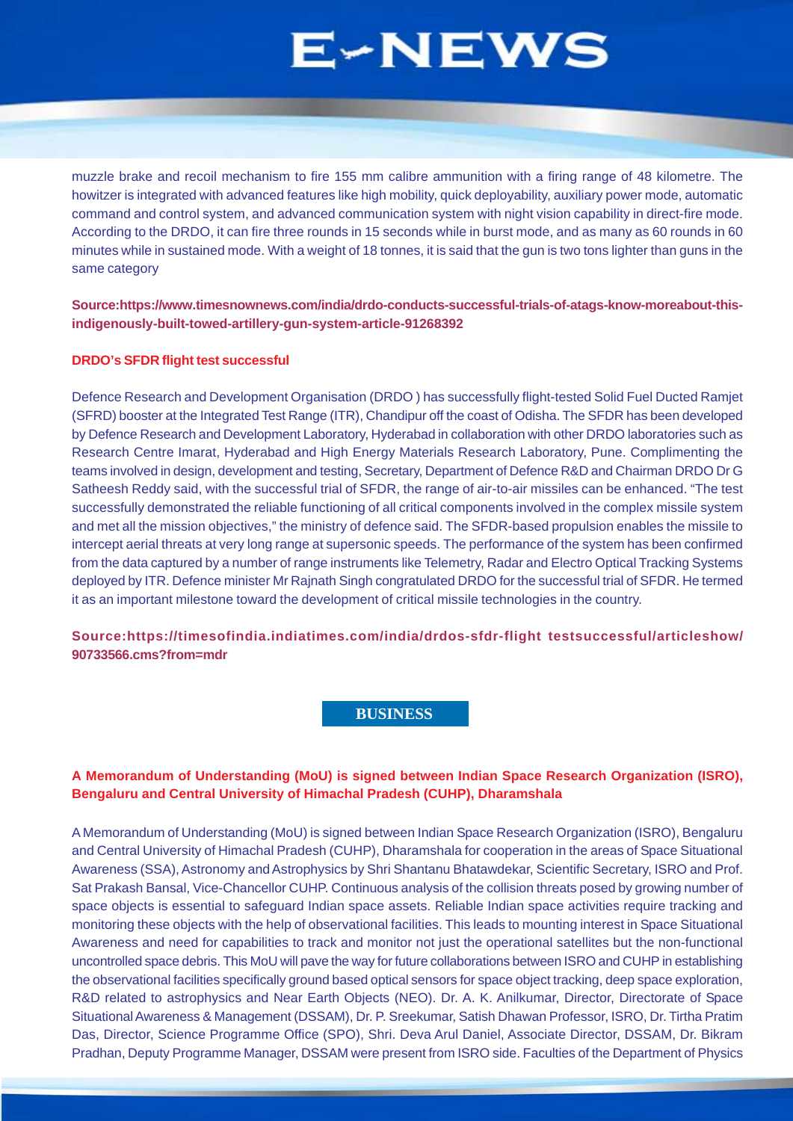<span id="page-6-0"></span>muzzle brake and recoil mechanism to fire 155 mm calibre ammunition with a firing range of 48 kilometre. The howitzer is integrated with advanced features like high mobility, quick deployability, auxiliary power mode, automatic command and control system, and advanced communication system with night vision capability in direct-fire mode. According to the DRDO, it can fire three rounds in 15 seconds while in burst mode, and as many as 60 rounds in 60 minutes while in sustained mode. With a weight of 18 tonnes, it is said that the gun is two tons lighter than guns in the same category

**Source:https://www.timesnownews.com/india/drdo-conducts-successful-trials-of-atags-know-moreabout-thisindigenously-built-towed-artillery-gun-system-article-91268392**

### **DRDO's SFDR flight test successful**

Defence Research and Development Organisation (DRDO ) has successfully flight-tested Solid Fuel Ducted Ramjet (SFRD) booster at the Integrated Test Range (ITR), Chandipur off the coast of Odisha. The SFDR has been developed by Defence Research and Development Laboratory, Hyderabad in collaboration with other DRDO laboratories such as Research Centre Imarat, Hyderabad and High Energy Materials Research Laboratory, Pune. Complimenting the teams involved in design, development and testing, Secretary, Department of Defence R&D and Chairman DRDO Dr G Satheesh Reddy said, with the successful trial of SFDR, the range of air-to-air missiles can be enhanced. "The test successfully demonstrated the reliable functioning of all critical components involved in the complex missile system and met all the mission objectives," the ministry of defence said. The SFDR-based propulsion enables the missile to intercept aerial threats at very long range at supersonic speeds. The performance of the system has been confirmed from the data captured by a number of range instruments like Telemetry, Radar and Electro Optical Tracking Systems deployed by ITR. Defence minister Mr Rajnath Singh congratulated DRDO for the successful trial of SFDR. He termed it as an important milestone toward the development of critical missile technologies in the country.

**Source:https://timesofindia.indiatimes.com/india/drdos-sfdr-flight testsuccessful/articleshow/ 90733566.cms?from=mdr**

# **BUSINESS**

### **A Memorandum of Understanding (MoU) is signed between Indian Space Research Organization (ISRO), Bengaluru and Central University of Himachal Pradesh (CUHP), Dharamshala**

A Memorandum of Understanding (MoU) is signed between Indian Space Research Organization (ISRO), Bengaluru and Central University of Himachal Pradesh (CUHP), Dharamshala for cooperation in the areas of Space Situational Awareness (SSA), Astronomy and Astrophysics by Shri Shantanu Bhatawdekar, Scientific Secretary, ISRO and Prof. Sat Prakash Bansal, Vice-Chancellor CUHP. Continuous analysis of the collision threats posed by growing number of space objects is essential to safeguard Indian space assets. Reliable Indian space activities require tracking and monitoring these objects with the help of observational facilities. This leads to mounting interest in Space Situational Awareness and need for capabilities to track and monitor not just the operational satellites but the non-functional uncontrolled space debris. This MoU will pave the way for future collaborations between ISRO and CUHP in establishing the observational facilities specifically ground based optical sensors for space object tracking, deep space exploration, R&D related to astrophysics and Near Earth Objects (NEO). Dr. A. K. Anilkumar, Director, Directorate of Space Situational Awareness & Management (DSSAM), Dr. P. Sreekumar, Satish Dhawan Professor, ISRO, Dr. Tirtha Pratim Das, Director, Science Programme Office (SPO), Shri. Deva Arul Daniel, Associate Director, DSSAM, Dr. Bikram Pradhan, Deputy Programme Manager, DSSAM were present from ISRO side. Faculties of the Department of Physics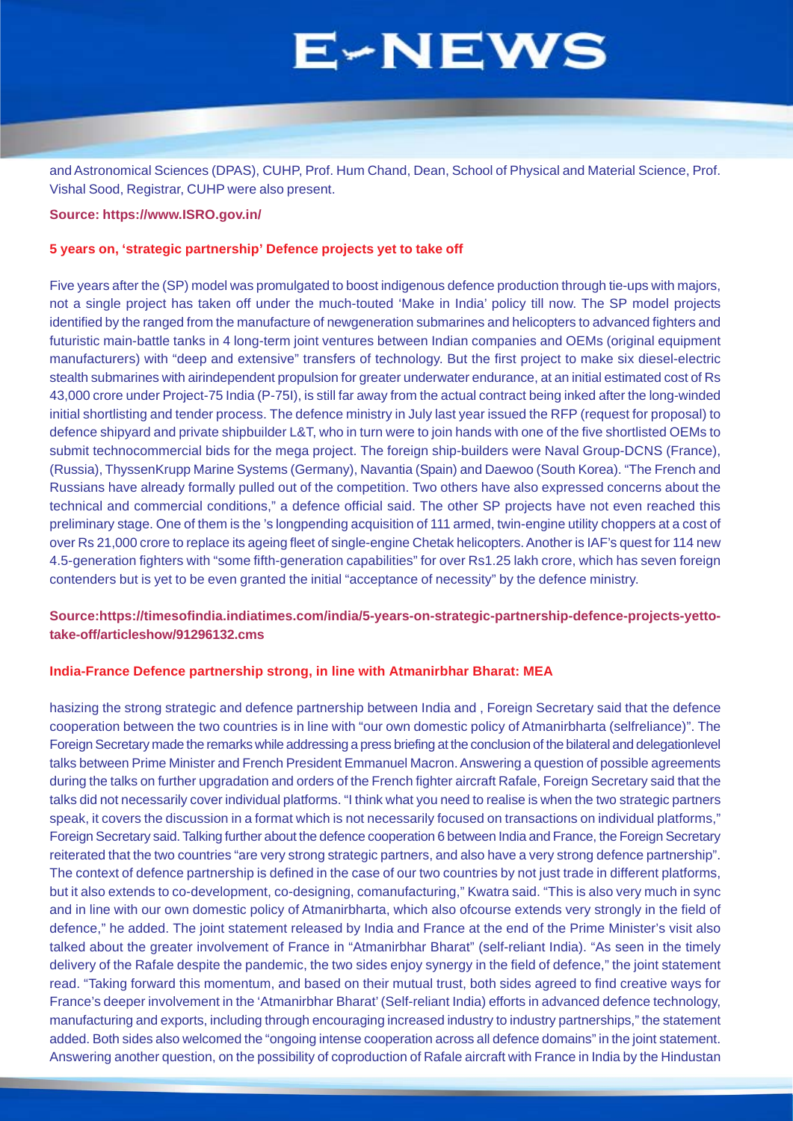and Astronomical Sciences (DPAS), CUHP, Prof. Hum Chand, Dean, School of Physical and Material Science, Prof. Vishal Sood, Registrar, CUHP were also present.

### **Source: https://www.ISRO.gov.in/**

#### **5 years on, 'strategic partnership' Defence projects yet to take off**

Five years after the (SP) model was promulgated to boost indigenous defence production through tie-ups with majors, not a single project has taken off under the much-touted 'Make in India' policy till now. The SP model projects identified by the ranged from the manufacture of newgeneration submarines and helicopters to advanced fighters and futuristic main-battle tanks in 4 long-term joint ventures between Indian companies and OEMs (original equipment manufacturers) with "deep and extensive" transfers of technology. But the first project to make six diesel-electric stealth submarines with airindependent propulsion for greater underwater endurance, at an initial estimated cost of Rs 43,000 crore under Project-75 India (P-75I), is still far away from the actual contract being inked after the long-winded initial shortlisting and tender process. The defence ministry in July last year issued the RFP (request for proposal) to defence shipyard and private shipbuilder L&T, who in turn were to join hands with one of the five shortlisted OEMs to submit technocommercial bids for the mega project. The foreign ship-builders were Naval Group-DCNS (France), (Russia), ThyssenKrupp Marine Systems (Germany), Navantia (Spain) and Daewoo (South Korea). "The French and Russians have already formally pulled out of the competition. Two others have also expressed concerns about the technical and commercial conditions," a defence official said. The other SP projects have not even reached this preliminary stage. One of them is the 's longpending acquisition of 111 armed, twin-engine utility choppers at a cost of over Rs 21,000 crore to replace its ageing fleet of single-engine Chetak helicopters. Another is IAF's quest for 114 new 4.5-generation fighters with "some fifth-generation capabilities" for over Rs1.25 lakh crore, which has seven foreign contenders but is yet to be even granted the initial "acceptance of necessity" by the defence ministry.

# **Source:https://timesofindia.indiatimes.com/india/5-years-on-strategic-partnership-defence-projects-yettotake-off/articleshow/91296132.cms**

#### **India-France Defence partnership strong, in line with Atmanirbhar Bharat: MEA**

hasizing the strong strategic and defence partnership between India and , Foreign Secretary said that the defence cooperation between the two countries is in line with "our own domestic policy of Atmanirbharta (selfreliance)". The Foreign Secretary made the remarks while addressing a press briefing at the conclusion of the bilateral and delegationlevel talks between Prime Minister and French President Emmanuel Macron. Answering a question of possible agreements during the talks on further upgradation and orders of the French fighter aircraft Rafale, Foreign Secretary said that the talks did not necessarily cover individual platforms. "I think what you need to realise is when the two strategic partners speak, it covers the discussion in a format which is not necessarily focused on transactions on individual platforms," Foreign Secretary said. Talking further about the defence cooperation 6 between India and France, the Foreign Secretary reiterated that the two countries "are very strong strategic partners, and also have a very strong defence partnership". The context of defence partnership is defined in the case of our two countries by not just trade in different platforms, but it also extends to co-development, co-designing, comanufacturing," Kwatra said. "This is also very much in sync and in line with our own domestic policy of Atmanirbharta, which also ofcourse extends very strongly in the field of defence," he added. The joint statement released by India and France at the end of the Prime Minister's visit also talked about the greater involvement of France in "Atmanirbhar Bharat" (self-reliant India). "As seen in the timely delivery of the Rafale despite the pandemic, the two sides enjoy synergy in the field of defence," the joint statement read. "Taking forward this momentum, and based on their mutual trust, both sides agreed to find creative ways for France's deeper involvement in the 'Atmanirbhar Bharat' (Self-reliant India) efforts in advanced defence technology, manufacturing and exports, including through encouraging increased industry to industry partnerships," the statement added. Both sides also welcomed the "ongoing intense cooperation across all defence domains" in the joint statement. Answering another question, on the possibility of coproduction of Rafale aircraft with France in India by the Hindustan